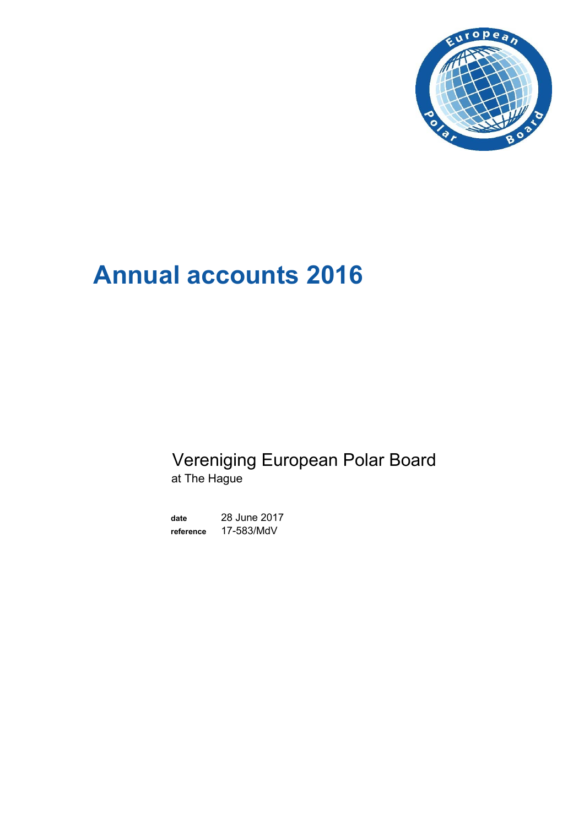

# **Annual accounts 2016**

# Vereniging European Polar Board at The Hague

**date** 28 June 2017 **reference** 17-583/MdV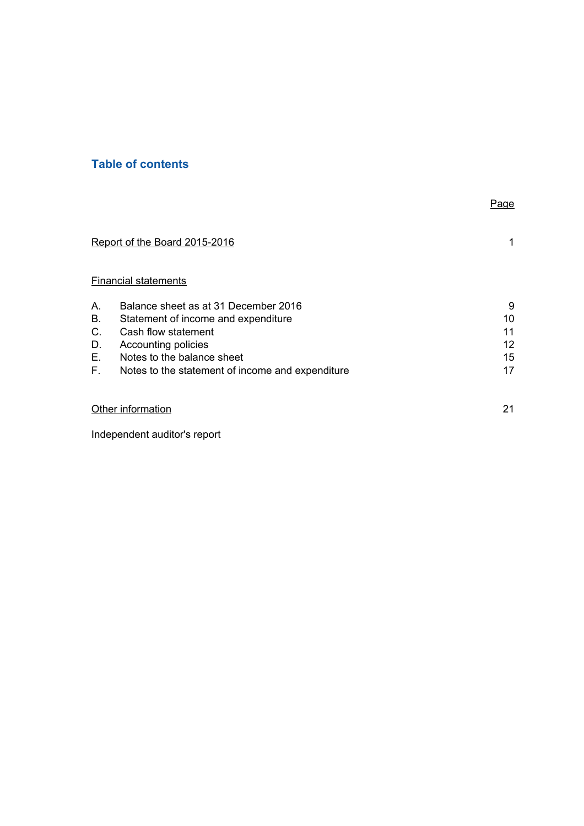# **Table of contents**

|    |                                                  | Page |
|----|--------------------------------------------------|------|
|    | Report of the Board 2015-2016                    | 1    |
|    | <b>Financial statements</b>                      |      |
| А. | Balance sheet as at 31 December 2016             | 9    |
| В. | Statement of income and expenditure              | 10   |
| C. | Cash flow statement                              | 11   |
| D. | Accounting policies                              | 12   |
| Е. | Notes to the balance sheet                       | 15   |
| F. | Notes to the statement of income and expenditure | 17   |
|    | Other information                                | 21   |
|    |                                                  |      |

Independent auditor's report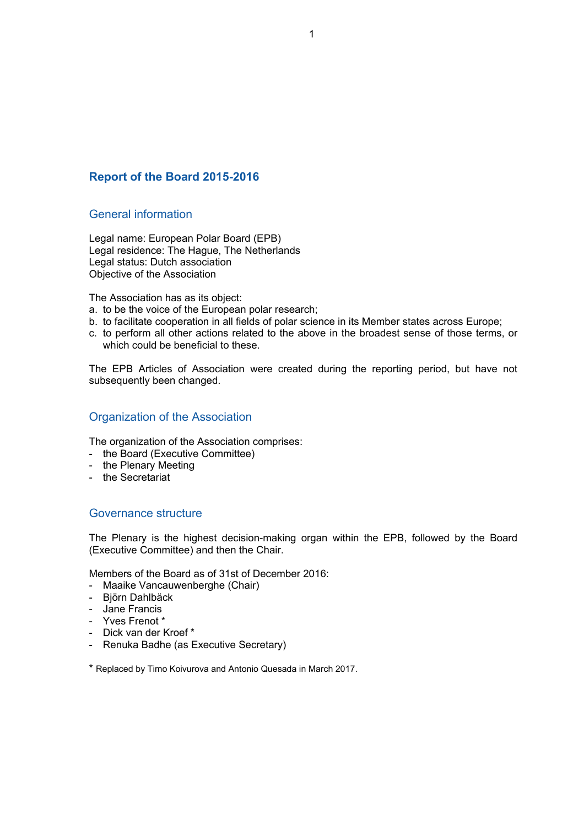#### **Report of the Board 2015-2016**

#### General information

Legal name: European Polar Board (EPB) Legal residence: The Hague, The Netherlands Legal status: Dutch association Objective of the Association

The Association has as its object:

- a. to be the voice of the European polar research;
- b. to facilitate cooperation in all fields of polar science in its Member states across Europe;
- c. to perform all other actions related to the above in the broadest sense of those terms, or which could be beneficial to these.

The EPB Articles of Association were created during the reporting period, but have not subsequently been changed.

#### Organization of the Association

The organization of the Association comprises:

- the Board (Executive Committee)
- the Plenary Meeting
- the Secretariat

#### Governance structure

The Plenary is the highest decision-making organ within the EPB, followed by the Board (Executive Committee) and then the Chair.

Members of the Board as of 31st of December 2016:

- Maaike Vancauwenberghe (Chair)
- Björn Dahlbäck
- Jane Francis
- Yves Frenot \*
- Dick van der Kroef \*
- Renuka Badhe (as Executive Secretary)

\* Replaced by Timo Koivurova and Antonio Quesada in March 2017.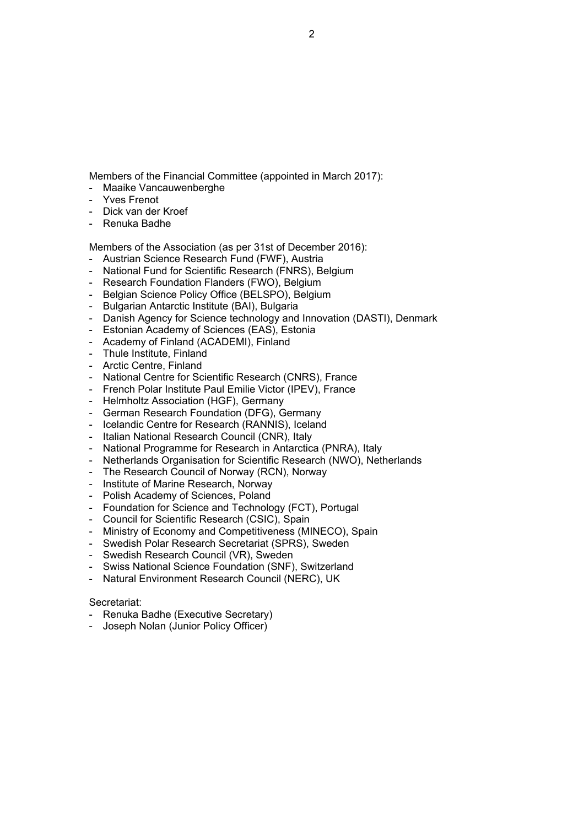Members of the Financial Committee (appointed in March 2017): - Maaike Vancauwenberghe

Members of the Association (as per 31st of December 2016):

- Danish Agency for Science technology and Innovation (DASTI), Denmark

- National Fund for Scientific Research (FNRS), Belgium

- National Centre for Scientific Research (CNRS), France - French Polar Institute Paul Emilie Victor (IPEV), France

- National Programme for Research in Antarctica (PNRA), Italy

- Netherlands Organisation for Scientific Research (NWO), Netherlands

- Austrian Science Research Fund (FWF), Austria

- Research Foundation Flanders (FWO), Belgium - Belgian Science Policy Office (BELSPO), Belgium

- Estonian Academy of Sciences (EAS), Estonia - Academy of Finland (ACADEMI), Finland

- German Research Foundation (DFG), Germany - Icelandic Centre for Research (RANNIS), Iceland - Italian National Research Council (CNR), Italy

- The Research Council of Norway (RCN), Norway

- Council for Scientific Research (CSIC), Spain

- Swedish Research Council (VR), Sweden

- Renuka Badhe (Executive Secretary) - Joseph Nolan (Junior Policy Officer)

- Foundation for Science and Technology (FCT), Portugal

- Swiss National Science Foundation (SNF), Switzerland - Natural Environment Research Council (NERC), UK

- Ministry of Economy and Competitiveness (MINECO), Spain - Swedish Polar Research Secretariat (SPRS), Sweden

- Bulgarian Antarctic Institute (BAI), Bulgaria

- Helmholtz Association (HGF), Germany

- Institute of Marine Research, Norway - Polish Academy of Sciences, Poland

- Thule Institute, Finland - Arctic Centre, Finland

Secretariat:

- Yves Frenot - Dick van der Kroef - Renuka Badhe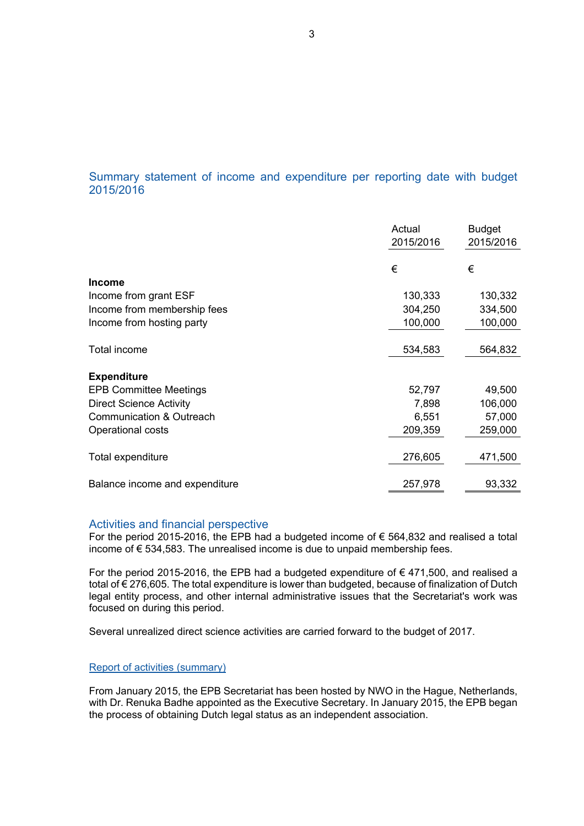### Summary statement of income and expenditure per reporting date with budget 2015/2016

|                                | Actual<br>2015/2016 | <b>Budget</b><br>2015/2016 |
|--------------------------------|---------------------|----------------------------|
|                                | €                   | €                          |
| <b>Income</b>                  |                     |                            |
| Income from grant ESF          | 130,333             | 130,332                    |
| Income from membership fees    | 304,250             | 334,500                    |
| Income from hosting party      | 100,000             | 100,000                    |
| Total income                   | 534,583             | 564,832                    |
| <b>Expenditure</b>             |                     |                            |
| <b>EPB Committee Meetings</b>  | 52,797              | 49,500                     |
| <b>Direct Science Activity</b> | 7,898               | 106,000                    |
| Communication & Outreach       | 6,551               | 57,000                     |
| Operational costs              | 209,359             | 259,000                    |
| Total expenditure              | 276,605             | 471,500                    |
| Balance income and expenditure | 257,978             | 93,332                     |

#### Activities and financial perspective

For the period 2015-2016, the EPB had a budgeted income of  $\epsilon$  564,832 and realised a total income of  $\epsilon$  534,583. The unrealised income is due to unpaid membership fees.

For the period 2015-2016, the EPB had a budgeted expenditure of  $\epsilon$  471,500, and realised a total of € 276,605. The total expenditure is lower than budgeted, because of finalization of Dutch legal entity process, and other internal administrative issues that the Secretariat's work was focused on during this period.

Several unrealized direct science activities are carried forward to the budget of 2017.

#### Report of activities (summary)

From January 2015, the EPB Secretariat has been hosted by NWO in the Hague, Netherlands, with Dr. Renuka Badhe appointed as the Executive Secretary. In January 2015, the EPB began the process of obtaining Dutch legal status as an independent association.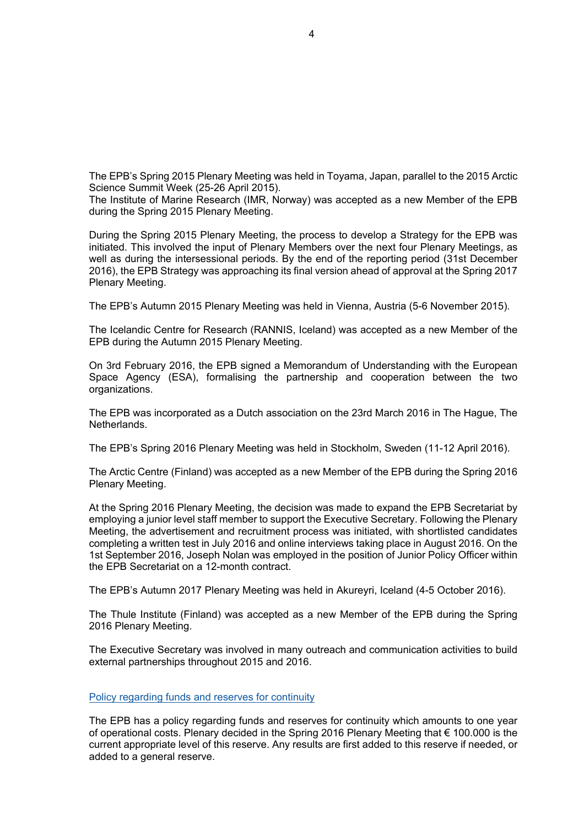The EPB's Spring 2015 Plenary Meeting was held in Toyama, Japan, parallel to the 2015 Arctic Science Summit Week (25-26 April 2015).

The Institute of Marine Research (IMR, Norway) was accepted as a new Member of the EPB during the Spring 2015 Plenary Meeting.

During the Spring 2015 Plenary Meeting, the process to develop a Strategy for the EPB was initiated. This involved the input of Plenary Members over the next four Plenary Meetings, as well as during the intersessional periods. By the end of the reporting period (31st December 2016), the EPB Strategy was approaching its final version ahead of approval at the Spring 2017 Plenary Meeting.

The EPB's Autumn 2015 Plenary Meeting was held in Vienna, Austria (5-6 November 2015).

The Icelandic Centre for Research (RANNIS, Iceland) was accepted as a new Member of the EPB during the Autumn 2015 Plenary Meeting.

On 3rd February 2016, the EPB signed a Memorandum of Understanding with the European Space Agency (ESA), formalising the partnership and cooperation between the two organizations.

The EPB was incorporated as a Dutch association on the 23rd March 2016 in The Hague, The Netherlands.

The EPB's Spring 2016 Plenary Meeting was held in Stockholm, Sweden (11-12 April 2016).

The Arctic Centre (Finland) was accepted as a new Member of the EPB during the Spring 2016 Plenary Meeting.

At the Spring 2016 Plenary Meeting, the decision was made to expand the EPB Secretariat by employing a junior level staff member to support the Executive Secretary. Following the Plenary Meeting, the advertisement and recruitment process was initiated, with shortlisted candidates completing a written test in July 2016 and online interviews taking place in August 2016. On the 1st September 2016, Joseph Nolan was employed in the position of Junior Policy Officer within the EPB Secretariat on a 12-month contract.

The EPB's Autumn 2017 Plenary Meeting was held in Akureyri, Iceland (4-5 October 2016).

The Thule Institute (Finland) was accepted as a new Member of the EPB during the Spring 2016 Plenary Meeting.

The Executive Secretary was involved in many outreach and communication activities to build external partnerships throughout 2015 and 2016.

#### Policy regarding funds and reserves for continuity

The EPB has a policy regarding funds and reserves for continuity which amounts to one year of operational costs. Plenary decided in the Spring 2016 Plenary Meeting that  $\epsilon$  100.000 is the current appropriate level of this reserve. Any results are first added to this reserve if needed, or added to a general reserve.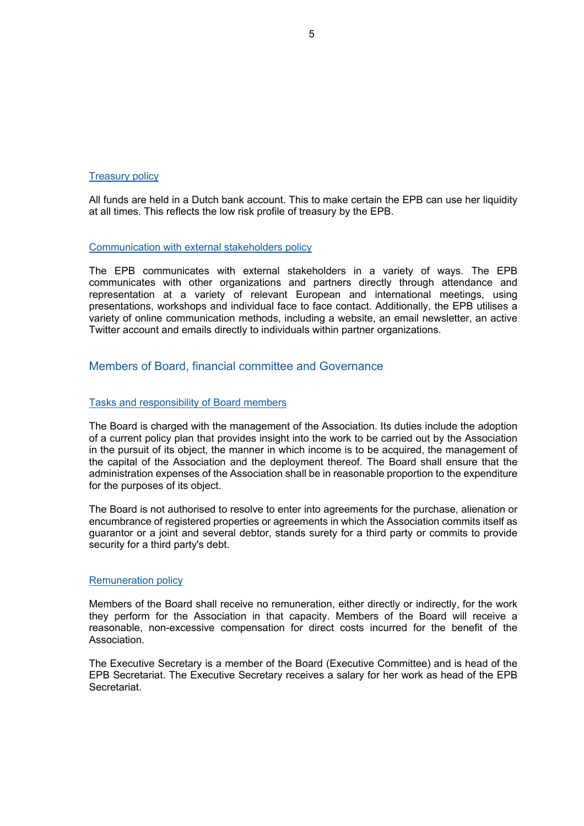#### Treasury policy

All funds are held in a Dutch bank account. This to make certain the EPB can use her liquidity at all times. This reflects the low risk profile of treasury by the EPB.

#### Communication with external stakeholders policy

The EPB communicates with external stakeholders in a variety of ways. The EPB communicates with other organizations and partners directly through attendance and representation at a variety of relevant European and international meetings, using presentations, workshops and individual face to face contact. Additionally, the EPB utilises a variety of online communication methods, including a website, an email newsletter, an active Twitter account and emails directly to individuals within partner organizations.

#### Members of Board, financial committee and Governance

#### Tasks and responsibility of Board members

The Board is charged with the management of the Association. Its duties include the adoption of a current policy plan that provides insight into the work to be carried out by the Association in the pursuit of its object, the manner in which income is to be acquired, the management of the capital of the Association and the deployment thereof. The Board shall ensure that the administration expenses of the Association shall be in reasonable proportion to the expenditure for the purposes of its object.

The Board is not authorised to resolve to enter into agreements for the purchase, alienation or encumbrance of registered properties or agreements in which the Association commits itself as guarantor or a joint and several debtor, stands surety for a third party or commits to provide security for a third party's debt.

#### Remuneration policy

Members of the Board shall receive no remuneration, either directly or indirectly, for the work they perform for the Association in that capacity. Members of the Board will receive a reasonable, non-excessive compensation for direct costs incurred for the benefit of the Association.

The Executive Secretary is a member of the Board (Executive Committee) and is head of the EPB Secretariat. The Executive Secretary receives a salary for her work as head of the EPB Secretariat.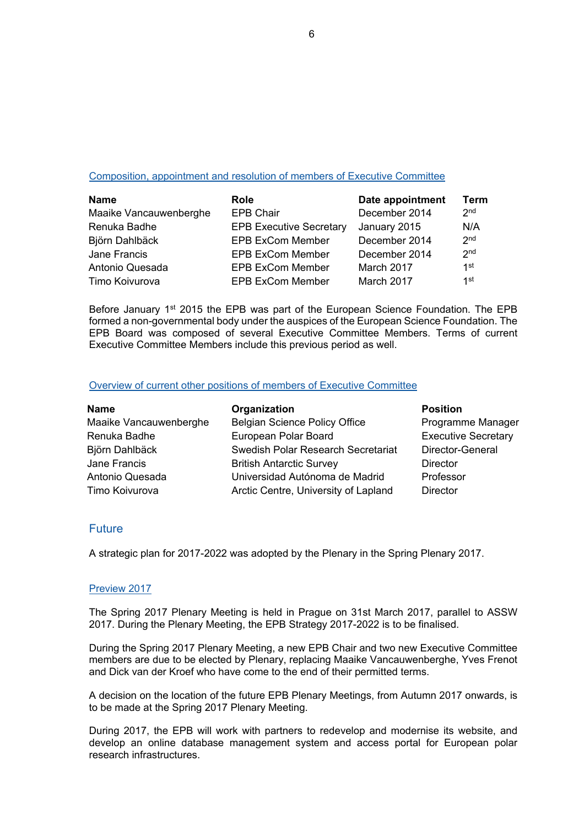#### Composition, appointment and resolution of members of Executive Committee

| <b>Name</b>            | <b>Role</b>                    | Date appointment | Term            |
|------------------------|--------------------------------|------------------|-----------------|
| Maaike Vancauwenberghe | <b>EPB Chair</b>               | December 2014    | 2 <sub>nd</sub> |
| Renuka Badhe           | <b>EPB Executive Secretary</b> | January 2015     | N/A             |
| Björn Dahlbäck         | <b>EPB ExCom Member</b>        | December 2014    | 2 <sub>nd</sub> |
| Jane Francis           | <b>EPB ExCom Member</b>        | December 2014    | 2 <sub>nd</sub> |
| Antonio Quesada        | <b>EPB ExCom Member</b>        | March 2017       | 1st             |
| Timo Koivurova         | <b>EPB ExCom Member</b>        | March 2017       | 1st             |

Before January 1<sup>st</sup> 2015 the EPB was part of the European Science Foundation. The EPB formed a non-governmental body under the auspices of the European Science Foundation. The EPB Board was composed of several Executive Committee Members. Terms of current Executive Committee Members include this previous period as well.

#### Overview of current other positions of members of Executive Committee

| Organization                         | <b>Position</b>            |
|--------------------------------------|----------------------------|
| <b>Belgian Science Policy Office</b> | Programme Manager          |
| European Polar Board                 | <b>Executive Secretary</b> |
| Swedish Polar Research Secretariat   | Director-General           |
| <b>British Antarctic Survey</b>      | <b>Director</b>            |
| Universidad Autónoma de Madrid       | Professor                  |
| Arctic Centre, University of Lapland | <b>Director</b>            |
|                                      |                            |

#### Future

A strategic plan for 2017-2022 was adopted by the Plenary in the Spring Plenary 2017.

#### Preview 2017

The Spring 2017 Plenary Meeting is held in Prague on 31st March 2017, parallel to ASSW 2017. During the Plenary Meeting, the EPB Strategy 2017-2022 is to be finalised.

During the Spring 2017 Plenary Meeting, a new EPB Chair and two new Executive Committee members are due to be elected by Plenary, replacing Maaike Vancauwenberghe, Yves Frenot and Dick van der Kroef who have come to the end of their permitted terms.

A decision on the location of the future EPB Plenary Meetings, from Autumn 2017 onwards, is to be made at the Spring 2017 Plenary Meeting.

During 2017, the EPB will work with partners to redevelop and modernise its website, and develop an online database management system and access portal for European polar research infrastructures.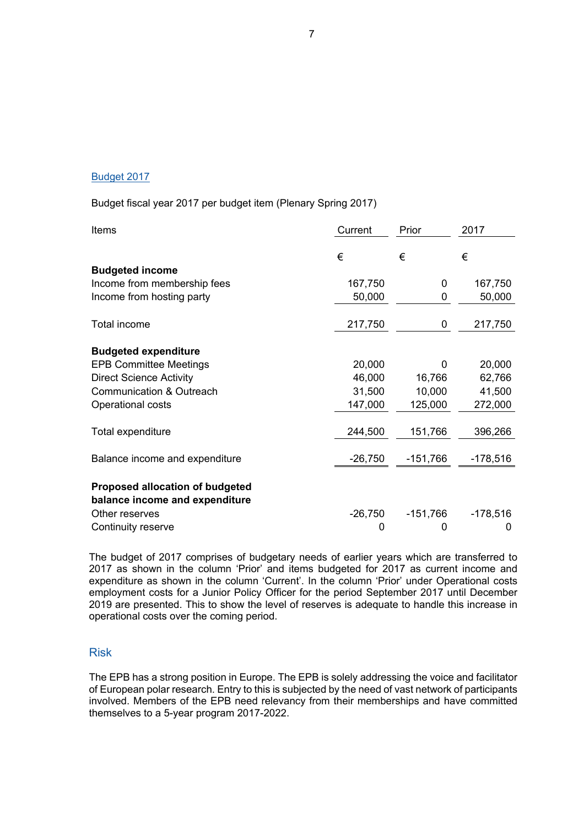#### Budget 2017

Budget fiscal year 2017 per budget item (Plenary Spring 2017)

| Items                                                             | Current   | Prior      | 2017       |
|-------------------------------------------------------------------|-----------|------------|------------|
|                                                                   | €         | €          | €          |
| <b>Budgeted income</b>                                            |           |            |            |
| Income from membership fees                                       | 167,750   | 0          | 167,750    |
| Income from hosting party                                         | 50,000    | 0          | 50,000     |
| Total income                                                      | 217,750   | 0          | 217,750    |
| <b>Budgeted expenditure</b>                                       |           |            |            |
| <b>EPB Committee Meetings</b>                                     | 20,000    | 0          | 20,000     |
| <b>Direct Science Activity</b>                                    | 46,000    | 16,766     | 62,766     |
| Communication & Outreach                                          | 31,500    | 10,000     | 41,500     |
| Operational costs                                                 | 147,000   | 125,000    | 272,000    |
| Total expenditure                                                 | 244,500   | 151,766    | 396,266    |
| Balance income and expenditure                                    | $-26,750$ | $-151,766$ | $-178,516$ |
| Proposed allocation of budgeted<br>balance income and expenditure |           |            |            |
| Other reserves                                                    | $-26,750$ | $-151,766$ | $-178,516$ |
| Continuity reserve                                                | 0         | 0          | 0          |

The budget of 2017 comprises of budgetary needs of earlier years which are transferred to 2017 as shown in the column 'Prior' and items budgeted for 2017 as current income and expenditure as shown in the column 'Current'. In the column 'Prior' under Operational costs employment costs for a Junior Policy Officer for the period September 2017 until December 2019 are presented. This to show the level of reserves is adequate to handle this increase in operational costs over the coming period.

#### Risk

The EPB has a strong position in Europe. The EPB is solely addressing the voice and facilitator of European polar research. Entry to this is subjected by the need of vast network of participants involved. Members of the EPB need relevancy from their memberships and have committed themselves to a 5-year program 2017-2022.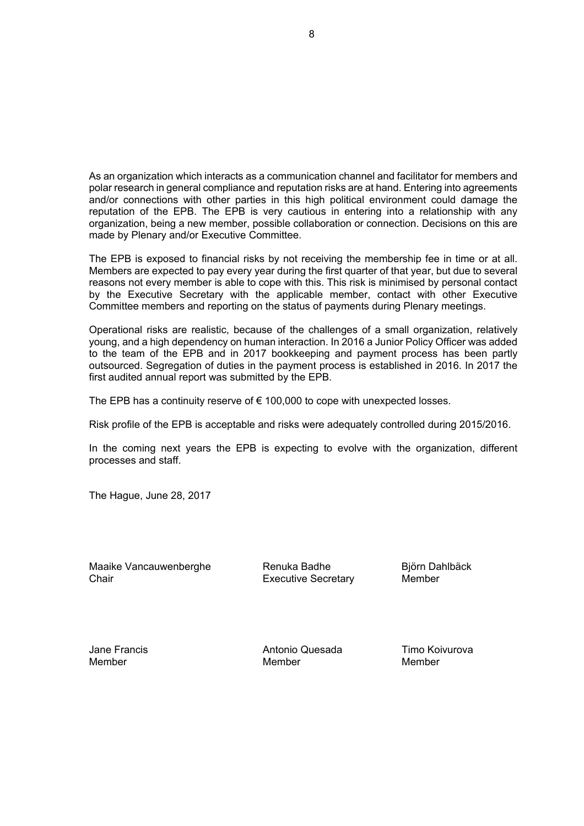As an organization which interacts as a communication channel and facilitator for members and polar research in general compliance and reputation risks are at hand. Entering into agreements and/or connections with other parties in this high political environment could damage the reputation of the EPB. The EPB is very cautious in entering into a relationship with any organization, being a new member, possible collaboration or connection. Decisions on this are made by Plenary and/or Executive Committee.

The EPB is exposed to financial risks by not receiving the membership fee in time or at all. Members are expected to pay every year during the first quarter of that year, but due to several reasons not every member is able to cope with this. This risk is minimised by personal contact by the Executive Secretary with the applicable member, contact with other Executive Committee members and reporting on the status of payments during Plenary meetings.

Operational risks are realistic, because of the challenges of a small organization, relatively young, and a high dependency on human interaction. In 2016 a Junior Policy Officer was added to the team of the EPB and in 2017 bookkeeping and payment process has been partly outsourced. Segregation of duties in the payment process is established in 2016. In 2017 the first audited annual report was submitted by the EPB.

The EPB has a continuity reserve of  $\epsilon$  100,000 to cope with unexpected losses.

Risk profile of the EPB is acceptable and risks were adequately controlled during 2015/2016.

In the coming next years the EPB is expecting to evolve with the organization, different processes and staff.

The Hague, June 28, 2017

Maaike Vancauwenberghe **Renuka Badhe** Björn Dahlbäck Chair **Executive Secretary** Member

Jane Francis **Antonio Quesada** Timo Koivurova<br>Member Member Member Member Member Member Member Member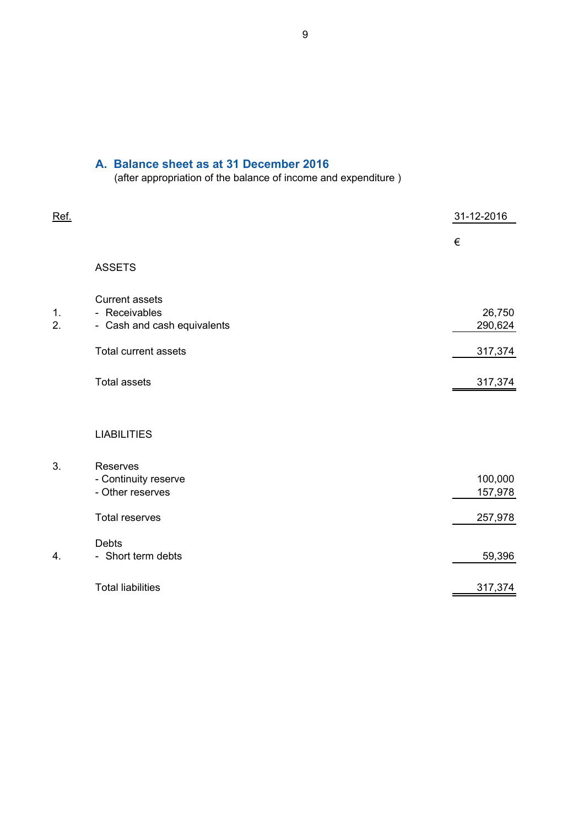# **A. Balance sheet as at 31 December 2016**

(after appropriation of the balance of income and expenditure )

| Ref.     |                                                                                                      | 31-12-2016                   |
|----------|------------------------------------------------------------------------------------------------------|------------------------------|
|          |                                                                                                      | €                            |
|          | <b>ASSETS</b>                                                                                        |                              |
| 1.<br>2. | <b>Current assets</b><br>- Receivables<br>- Cash and cash equivalents<br><b>Total current assets</b> | 26,750<br>290,624<br>317,374 |
|          | <b>Total assets</b>                                                                                  | 317,374                      |
|          | <b>LIABILITIES</b>                                                                                   |                              |
| 3.       | Reserves<br>- Continuity reserve<br>- Other reserves                                                 | 100,000<br>157,978           |
|          | <b>Total reserves</b>                                                                                | 257,978                      |
| 4.       | <b>Debts</b><br>- Short term debts                                                                   | 59,396                       |
|          | <b>Total liabilities</b>                                                                             | 317,374                      |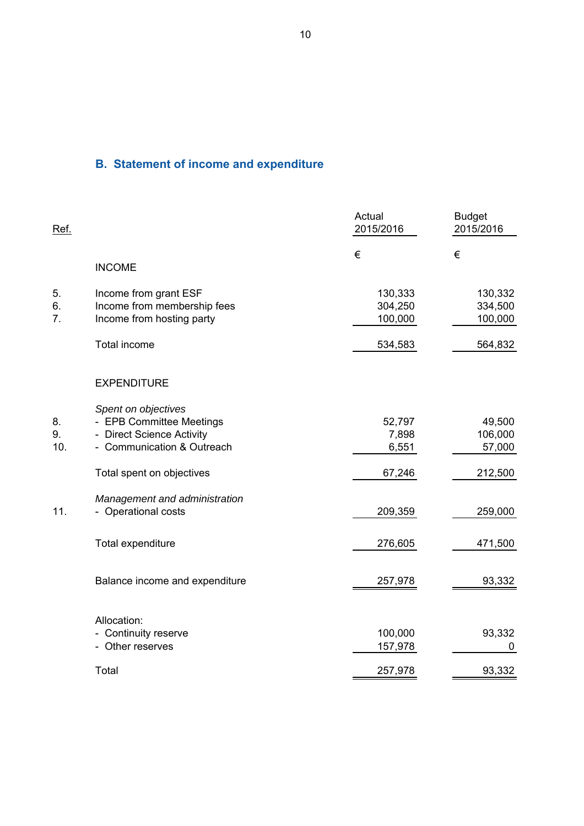# **B. Statement of income and expenditure**

| Ref.            |                                                                                                                                         | Actual<br>2015/2016                | <b>Budget</b><br>2015/2016             |
|-----------------|-----------------------------------------------------------------------------------------------------------------------------------------|------------------------------------|----------------------------------------|
|                 | <b>INCOME</b>                                                                                                                           | €                                  | €                                      |
| 5.<br>6.<br>7.  | Income from grant ESF<br>Income from membership fees<br>Income from hosting party                                                       | 130,333<br>304,250<br>100,000      | 130,332<br>334,500<br>100,000          |
|                 | <b>Total income</b>                                                                                                                     | 534,583                            | 564,832                                |
|                 | <b>EXPENDITURE</b>                                                                                                                      |                                    |                                        |
| 8.<br>9.<br>10. | Spent on objectives<br>- EPB Committee Meetings<br>- Direct Science Activity<br>- Communication & Outreach<br>Total spent on objectives | 52,797<br>7,898<br>6,551<br>67,246 | 49,500<br>106,000<br>57,000<br>212,500 |
| 11.             | Management and administration<br>- Operational costs                                                                                    | 209,359                            | 259,000                                |
|                 | Total expenditure                                                                                                                       | 276,605                            | 471,500                                |
|                 | Balance income and expenditure                                                                                                          | 257,978                            | 93,332                                 |
|                 | Allocation:<br>- Continuity reserve<br>- Other reserves<br>Total                                                                        | 100,000<br>157,978<br>257,978      | 93,332<br>0<br>93,332                  |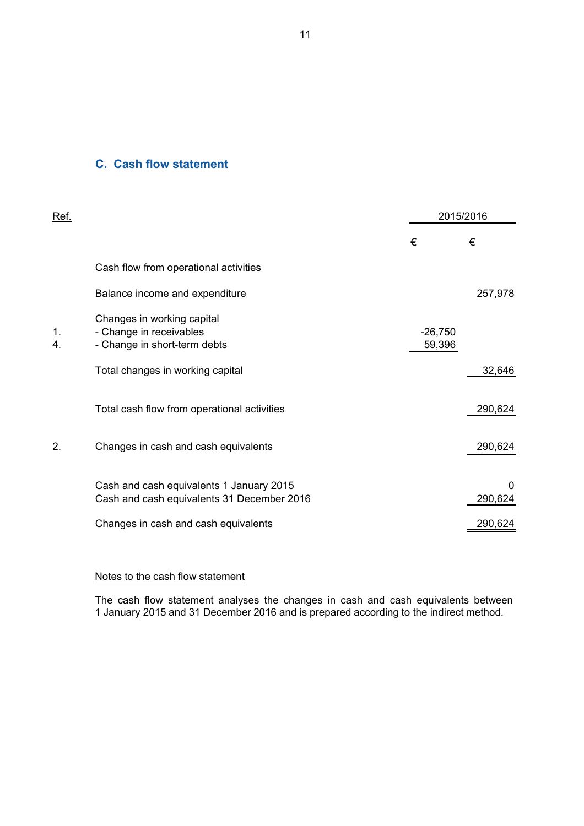#### **C. Cash flow statement**

| <u>Ref.</u> |                                                                                        |                     | 2015/2016    |
|-------------|----------------------------------------------------------------------------------------|---------------------|--------------|
|             |                                                                                        | €                   | €            |
|             | Cash flow from operational activities                                                  |                     |              |
|             | Balance income and expenditure                                                         |                     | 257,978      |
| 1.<br>4.    | Changes in working capital<br>- Change in receivables<br>- Change in short-term debts  | $-26,750$<br>59,396 |              |
|             | Total changes in working capital                                                       |                     | 32,646       |
|             | Total cash flow from operational activities                                            |                     | 290,624      |
| 2.          | Changes in cash and cash equivalents                                                   |                     | 290,624      |
|             | Cash and cash equivalents 1 January 2015<br>Cash and cash equivalents 31 December 2016 |                     | 0<br>290,624 |
|             | Changes in cash and cash equivalents                                                   |                     | 290,624      |

#### Notes to the cash flow statement

The cash flow statement analyses the changes in cash and cash equivalents between 1 January 2015 and 31 December 2016 and is prepared according to the indirect method.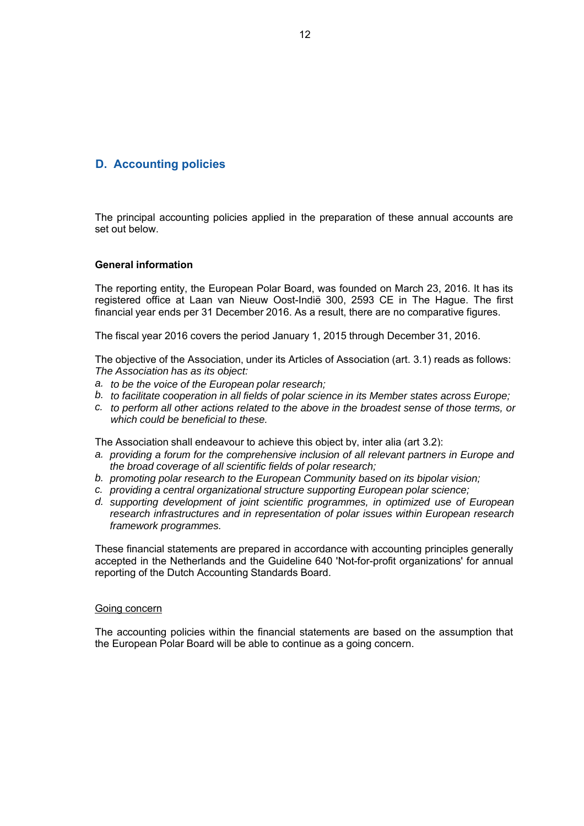## **D. Accounting policies**

The principal accounting policies applied in the preparation of these annual accounts are set out below.

#### **General information**

The reporting entity, the European Polar Board, was founded on March 23, 2016. It has its registered office at Laan van Nieuw Oost-Indië 300, 2593 CE in The Hague. The first financial year ends per 31 December 2016. As a result, there are no comparative figures.

The fiscal year 2016 covers the period January 1, 2015 through December 31, 2016.

The objective of the Association, under its Articles of Association (art. 3.1) reads as follows: *The Association has as its object:*

- *a. to be the voice of the European polar research;*
- *b. to facilitate cooperation in all fields of polar science in its Member states across Europe;*
- *c. to perform all other actions related to the above in the broadest sense of those terms, or which could be beneficial to these.*

The Association shall endeavour to achieve this object by, inter alia (art 3.2):

- *a. providing a forum for the comprehensive inclusion of all relevant partners in Europe and the broad coverage of all scientific fields of polar research;*
- *b. promoting polar research to the European Community based on its bipolar vision;*
- *c. providing a central organizational structure supporting European polar science;*
- *d. supporting development of joint scientific programmes, in optimized use of European research infrastructures and in representation of polar issues within European research framework programmes.*

These financial statements are prepared in accordance with accounting principles generally accepted in the Netherlands and the Guideline 640 'Not-for-profit organizations' for annual reporting of the Dutch Accounting Standards Board.

#### Going concern

The accounting policies within the financial statements are based on the assumption that the European Polar Board will be able to continue as a going concern.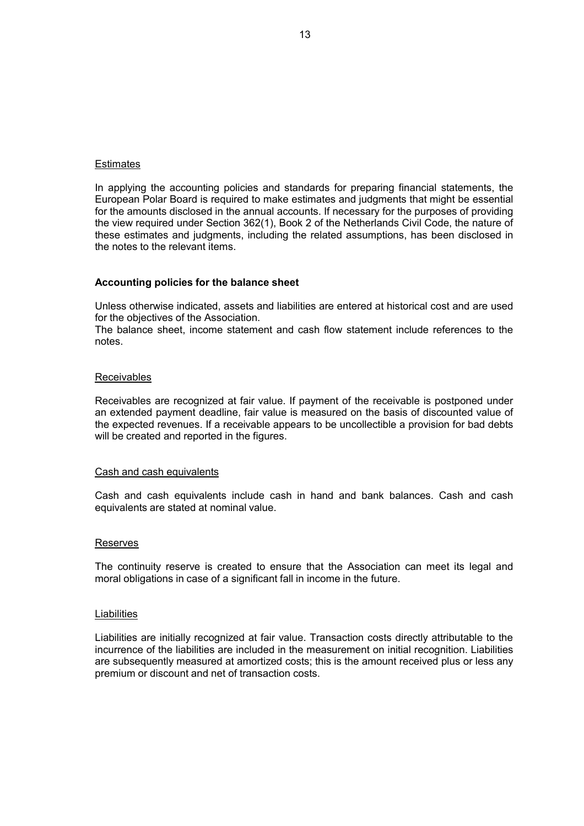#### Estimates

In applying the accounting policies and standards for preparing financial statements, the European Polar Board is required to make estimates and judgments that might be essential for the amounts disclosed in the annual accounts. If necessary for the purposes of providing the view required under Section 362(1), Book 2 of the Netherlands Civil Code, the nature of these estimates and judgments, including the related assumptions, has been disclosed in the notes to the relevant items.

#### **Accounting policies for the balance sheet**

Unless otherwise indicated, assets and liabilities are entered at historical cost and are used for the objectives of the Association.

The balance sheet, income statement and cash flow statement include references to the notes.

#### Receivables

Receivables are recognized at fair value. If payment of the receivable is postponed under an extended payment deadline, fair value is measured on the basis of discounted value of the expected revenues. If a receivable appears to be uncollectible a provision for bad debts will be created and reported in the figures.

#### Cash and cash equivalents

Cash and cash equivalents include cash in hand and bank balances. Cash and cash equivalents are stated at nominal value.

#### Reserves

The continuity reserve is created to ensure that the Association can meet its legal and moral obligations in case of a significant fall in income in the future.

#### **Liabilities**

Liabilities are initially recognized at fair value. Transaction costs directly attributable to the incurrence of the liabilities are included in the measurement on initial recognition. Liabilities are subsequently measured at amortized costs; this is the amount received plus or less any premium or discount and net of transaction costs.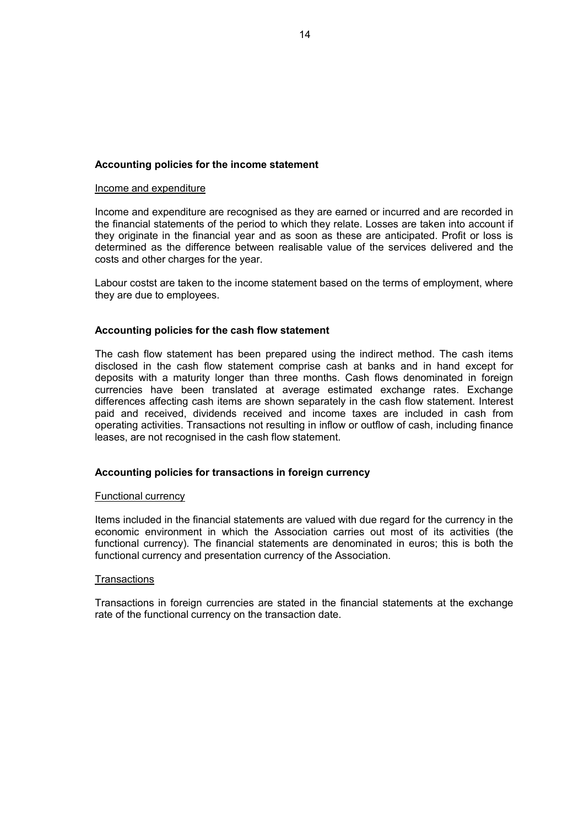#### **Accounting policies for the income statement**

#### Income and expenditure

Income and expenditure are recognised as they are earned or incurred and are recorded in the financial statements of the period to which they relate. Losses are taken into account if they originate in the financial year and as soon as these are anticipated. Profit or loss is determined as the difference between realisable value of the services delivered and the costs and other charges for the year.

Labour costst are taken to the income statement based on the terms of employment, where they are due to employees.

#### **Accounting policies for the cash flow statement**

The cash flow statement has been prepared using the indirect method. The cash items disclosed in the cash flow statement comprise cash at banks and in hand except for deposits with a maturity longer than three months. Cash flows denominated in foreign currencies have been translated at average estimated exchange rates. Exchange differences affecting cash items are shown separately in the cash flow statement. Interest paid and received, dividends received and income taxes are included in cash from operating activities. Transactions not resulting in inflow or outflow of cash, including finance leases, are not recognised in the cash flow statement.

#### **Accounting policies for transactions in foreign currency**

#### Functional currency

Items included in the financial statements are valued with due regard for the currency in the economic environment in which the Association carries out most of its activities (the functional currency). The financial statements are denominated in euros; this is both the functional currency and presentation currency of the Association.

#### **Transactions**

Transactions in foreign currencies are stated in the financial statements at the exchange rate of the functional currency on the transaction date.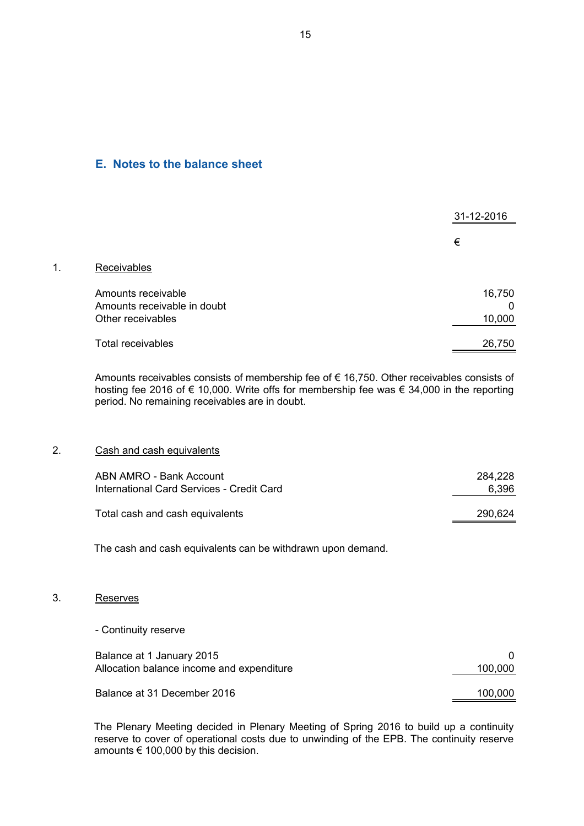#### **E. Notes to the balance sheet**

|    |                                                                        | 31-12-2016            |
|----|------------------------------------------------------------------------|-----------------------|
|    |                                                                        | €                     |
| 1. | Receivables                                                            |                       |
|    | Amounts receivable<br>Amounts receivable in doubt<br>Other receivables | 16,750<br>0<br>10,000 |
|    | <b>Total receivables</b>                                               | 26,750                |

Amounts receivables consists of membership fee of € 16,750. Other receivables consists of hosting fee 2016 of € 10,000. Write offs for membership fee was € 34,000 in the reporting period. No remaining receivables are in doubt.

#### 2. Cash and cash equivalents

| ABN AMRO - Bank Account                   | 284.228 |
|-------------------------------------------|---------|
| International Card Services - Credit Card | 6.396   |
| Total cash and cash equivalents           | 290,624 |

The cash and cash equivalents can be withdrawn upon demand.

#### 3. Reserves

- Continuity reserve

| Balance at 1 January 2015<br>Allocation balance income and expenditure | 100.000 |
|------------------------------------------------------------------------|---------|
| Balance at 31 December 2016                                            | 100,000 |

The Plenary Meeting decided in Plenary Meeting of Spring 2016 to build up a continuity reserve to cover of operational costs due to unwinding of the EPB. The continuity reserve amounts € 100,000 by this decision.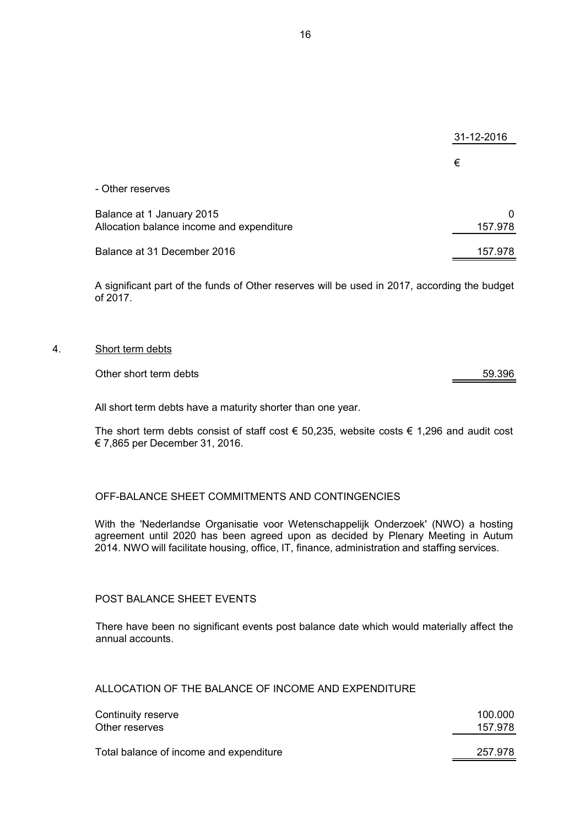|                                           | 31-12-2016 |
|-------------------------------------------|------------|
|                                           | €          |
| - Other reserves                          |            |
| Balance at 1 January 2015                 | 0          |
| Allocation balance income and expenditure | 157.978    |
| Balance at 31 December 2016               | 157.978    |

A significant part of the funds of Other reserves will be used in 2017, according the budget of 2017.

#### 4. Short term debts

#### Other short term debts 59.396

All short term debts have a maturity shorter than one year.

The short term debts consist of staff cost  $\epsilon$  50,235, website costs  $\epsilon$  1,296 and audit cost € 7,865 per December 31, 2016.

#### OFF-BALANCE SHEET COMMITMENTS AND CONTINGENCIES

With the 'Nederlandse Organisatie voor Wetenschappelijk Onderzoek' (NWO) a hosting agreement until 2020 has been agreed upon as decided by Plenary Meeting in Autum 2014. NWO will facilitate housing, office, IT, finance, administration and staffing services.

#### POST BALANCE SHEET EVENTS

There have been no significant events post balance date which would materially affect the annual accounts.

#### ALLOCATION OF THE BALANCE OF INCOME AND EXPENDITURE

| Continuity reserve                      | 100.000 |
|-----------------------------------------|---------|
| Other reserves                          | 157.978 |
| Total balance of income and expenditure | 257.978 |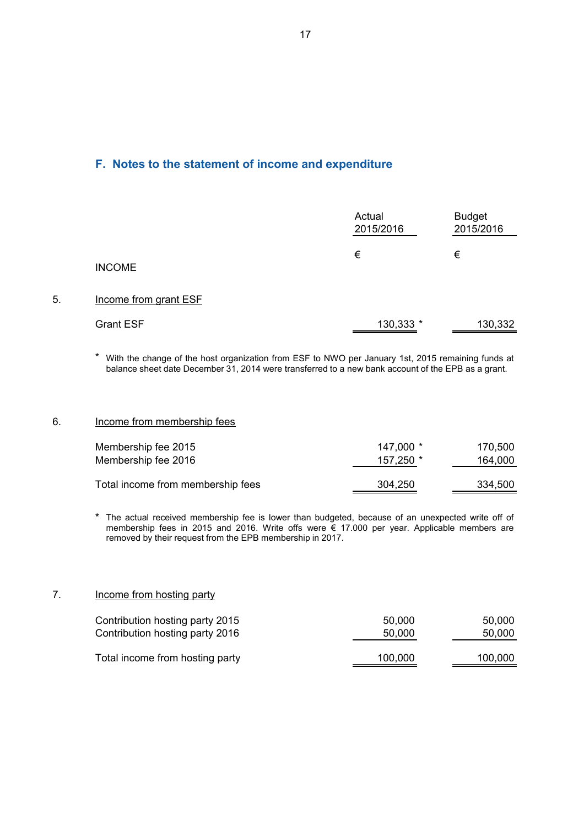### **F. Notes to the statement of income and expenditure**

|    |                       | Actual<br>2015/2016 | <b>Budget</b><br>2015/2016 |
|----|-----------------------|---------------------|----------------------------|
|    | <b>INCOME</b>         | €                   | €                          |
| 5. | Income from grant ESF |                     |                            |
|    | <b>Grant ESF</b>      | 130,333 *           | 130,332                    |

\* With the change of the host organization from ESF to NWO per January 1st, 2015 remaining funds at balance sheet date December 31, 2014 were transferred to a new bank account of the EPB as a grant.

#### 6. Income from membership fees

| Membership fee 2015               | $147.000*$ | 170.500 |
|-----------------------------------|------------|---------|
| Membership fee 2016               | 157,250 *  | 164,000 |
| Total income from membership fees | 304,250    | 334,500 |

\* The actual received membership fee is lower than budgeted, because of an unexpected write off of membership fees in 2015 and 2016. Write offs were € 17.000 per year. Applicable members are removed by their request from the EPB membership in 2017.

#### 7. Income from hosting party

| Contribution hosting party 2015 | 50.000  | 50.000  |
|---------------------------------|---------|---------|
| Contribution hosting party 2016 | 50,000  | 50,000  |
| Total income from hosting party | 100,000 | 100,000 |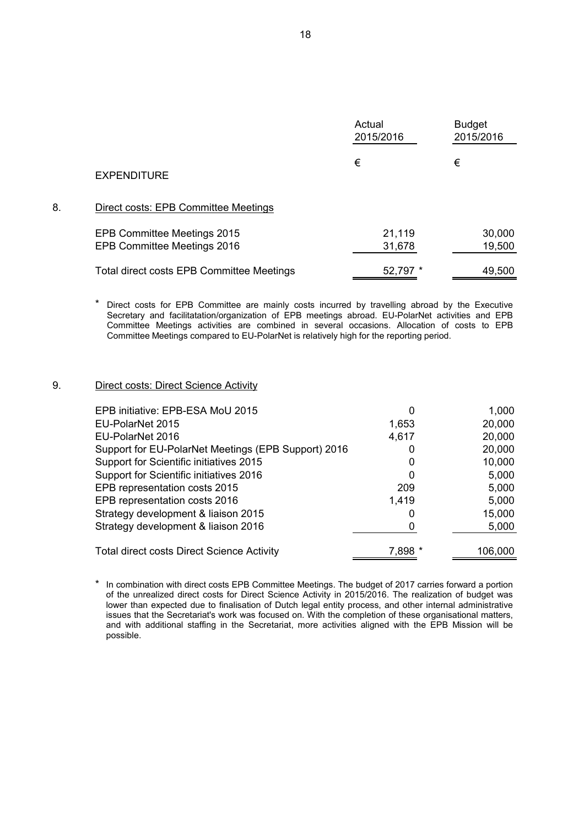|    |                                                            | Actual<br>2015/2016 | <b>Budget</b><br>2015/2016 |
|----|------------------------------------------------------------|---------------------|----------------------------|
|    | <b>EXPENDITURE</b>                                         | €                   | €                          |
| 8. | Direct costs: EPB Committee Meetings                       |                     |                            |
|    | EPB Committee Meetings 2015<br>EPB Committee Meetings 2016 | 21,119<br>31,678    | 30,000<br>19,500           |
|    | Total direct costs EPB Committee Meetings                  | 52,797 *            | 49,500                     |

\* Direct costs for EPB Committee are mainly costs incurred by travelling abroad by the Executive Secretary and facilitatation/organization of EPB meetings abroad. EU-PolarNet activities and EPB Committee Meetings activities are combined in several occasions. Allocation of costs to EPB Committee Meetings compared to EU-PolarNet is relatively high for the reporting period.

#### 9. **Direct costs: Direct Science Activity**

| EPB initiative: EPB-ESA MoU 2015                    | 0       | 1,000   |
|-----------------------------------------------------|---------|---------|
| EU-PolarNet 2015                                    | 1,653   | 20,000  |
| EU-PolarNet 2016                                    | 4,617   | 20,000  |
| Support for EU-PolarNet Meetings (EPB Support) 2016 | 0       | 20,000  |
| Support for Scientific initiatives 2015             | 0       | 10,000  |
| Support for Scientific initiatives 2016             | 0       | 5,000   |
| EPB representation costs 2015                       | 209     | 5,000   |
| EPB representation costs 2016                       | 1,419   | 5,000   |
| Strategy development & liaison 2015                 | 0       | 15,000  |
| Strategy development & liaison 2016                 |         | 5,000   |
| <b>Total direct costs Direct Science Activity</b>   | 7,898 * | 106,000 |
|                                                     |         |         |

\* In combination with direct costs EPB Committee Meetings. The budget of 2017 carries forward a portion of the unrealized direct costs for Direct Science Activity in 2015/2016. The realization of budget was lower than expected due to finalisation of Dutch legal entity process, and other internal administrative issues that the Secretariat's work was focused on. With the completion of these organisational matters, and with additional staffing in the Secretariat, more activities aligned with the EPB Mission will be possible.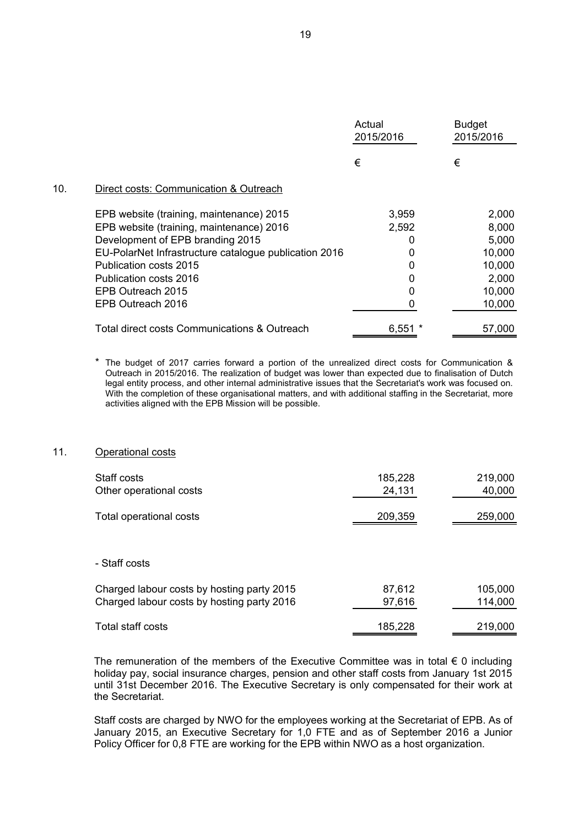|     |                                                       | Actual<br>2015/2016 | <b>Budget</b><br>2015/2016 |
|-----|-------------------------------------------------------|---------------------|----------------------------|
|     |                                                       | €                   | €                          |
| 10. | Direct costs: Communication & Outreach                |                     |                            |
|     | EPB website (training, maintenance) 2015              | 3,959               | 2,000                      |
|     | EPB website (training, maintenance) 2016              | 2,592               | 8,000                      |
|     | Development of EPB branding 2015                      |                     | 5,000                      |
|     | EU-PolarNet Infrastructure catalogue publication 2016 |                     | 10,000                     |
|     | Publication costs 2015                                |                     | 10,000                     |
|     | Publication costs 2016                                |                     | 2,000                      |
|     | EPB Outreach 2015                                     | 0                   | 10,000                     |
|     | EPB Outreach 2016                                     |                     | 10,000                     |
|     | Total direct costs Communications & Outreach          | 6,551               | 57,000                     |

\* The budget of 2017 carries forward a portion of the unrealized direct costs for Communication & Outreach in 2015/2016. The realization of budget was lower than expected due to finalisation of Dutch legal entity process, and other internal administrative issues that the Secretariat's work was focused on. With the completion of these organisational matters, and with additional staffing in the Secretariat, more activities aligned with the EPB Mission will be possible.

#### 11. Operational costs

| Staff costs                                | 185,228 | 219,000 |
|--------------------------------------------|---------|---------|
| Other operational costs                    | 24,131  | 40,000  |
| Total operational costs                    | 209,359 | 259,000 |
|                                            |         |         |
| - Staff costs                              |         |         |
| Charged labour costs by hosting party 2015 | 87,612  | 105,000 |
| Charged labour costs by hosting party 2016 | 97,616  | 114,000 |
| Total staff costs                          | 185,228 | 219,000 |

The remuneration of the members of the Executive Committee was in total  $\epsilon$  0 including holiday pay, social insurance charges, pension and other staff costs from January 1st 2015 until 31st December 2016. The Executive Secretary is only compensated for their work at the Secretariat.

Staff costs are charged by NWO for the employees working at the Secretariat of EPB. As of January 2015, an Executive Secretary for 1,0 FTE and as of September 2016 a Junior Policy Officer for 0,8 FTE are working for the EPB within NWO as a host organization.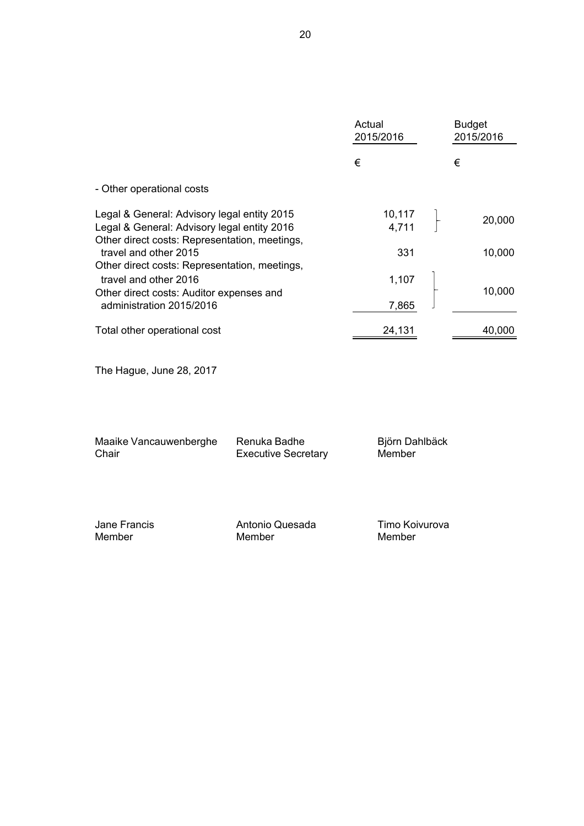|                                                                                                                                                | Actual<br>2015/2016 | <b>Budget</b><br>2015/2016 |
|------------------------------------------------------------------------------------------------------------------------------------------------|---------------------|----------------------------|
|                                                                                                                                                | €                   | €                          |
| - Other operational costs                                                                                                                      |                     |                            |
| Legal & General: Advisory legal entity 2015<br>Legal & General: Advisory legal entity 2016<br>Other direct costs: Representation, meetings,    | 10,117<br>4,711     | 20,000                     |
| travel and other 2015                                                                                                                          | 331                 | 10,000                     |
| Other direct costs: Representation, meetings,<br>travel and other 2016<br>Other direct costs: Auditor expenses and<br>administration 2015/2016 | 1,107<br>7,865      | 10,000                     |
| Total other operational cost                                                                                                                   | 24,131              | 40,000                     |

The Hague, June 28, 2017

| Maaike Vancauwenberghe | Renuka Badhe               | Björn Dahlbäck |
|------------------------|----------------------------|----------------|
| Chair                  | <b>Executive Secretary</b> | Member         |
|                        |                            |                |

| Jane Francis | Antonio Quesada | Timo Koivurova |
|--------------|-----------------|----------------|
| Member       | Member          | Member         |